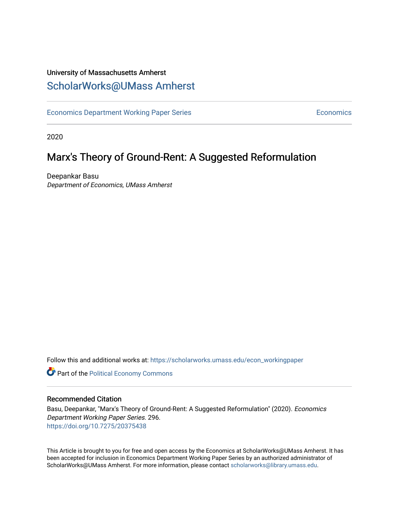## University of Massachusetts Amherst [ScholarWorks@UMass Amherst](https://scholarworks.umass.edu/)

[Economics Department Working Paper Series](https://scholarworks.umass.edu/econ_workingpaper) **Economics** Economics

2020

## Marx's Theory of Ground-Rent: A Suggested Reformulation

Deepankar Basu Department of Economics, UMass Amherst

Follow this and additional works at: [https://scholarworks.umass.edu/econ\\_workingpaper](https://scholarworks.umass.edu/econ_workingpaper?utm_source=scholarworks.umass.edu%2Fecon_workingpaper%2F296&utm_medium=PDF&utm_campaign=PDFCoverPages) 

**Part of the [Political Economy Commons](http://network.bepress.com/hgg/discipline/352?utm_source=scholarworks.umass.edu%2Fecon_workingpaper%2F296&utm_medium=PDF&utm_campaign=PDFCoverPages)** 

#### Recommended Citation

Basu, Deepankar, "Marx's Theory of Ground-Rent: A Suggested Reformulation" (2020). Economics Department Working Paper Series. 296. <https://doi.org/10.7275/20375438>

This Article is brought to you for free and open access by the Economics at ScholarWorks@UMass Amherst. It has been accepted for inclusion in Economics Department Working Paper Series by an authorized administrator of ScholarWorks@UMass Amherst. For more information, please contact [scholarworks@library.umass.edu.](mailto:scholarworks@library.umass.edu)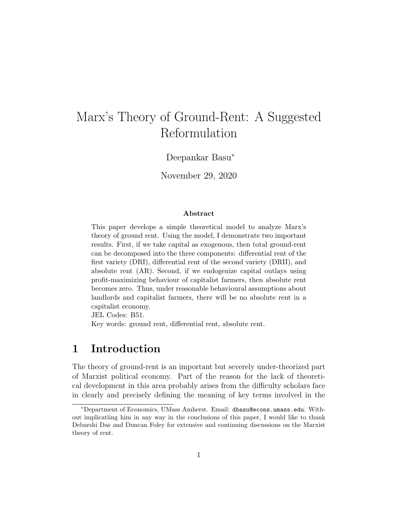# Marx's Theory of Ground-Rent: A Suggested Reformulation

Deepankar Basu<sup>∗</sup>

November 29, 2020

#### Abstract

This paper develops a simple theoretical model to analyze Marx's theory of ground rent. Using the model, I demonstrate two important results. First, if we take capital as exogenous, then total ground-rent can be decomposed into the three components: differential rent of the first variety (DRI), differential rent of the second variety (DRII), and absolute rent (AR). Second, if we endogenize capital outlays using profit-maximizing behaviour of capitalist farmers, then absolute rent becomes zero. Thus, under reasonable behavioural assumptions about landlords and capitalist farmers, there will be no absolute rent in a capitalist economy.

JEL Codes: B51.

Key words: ground rent, differential rent, absolute rent.

## 1 Introduction

The theory of ground-rent is an important but severely under-theorized part of Marxist political economy. Part of the reason for the lack of theoretical development in this area probably arises from the difficulty scholars face in clearly and precisely defining the meaning of key terms involved in the

<sup>∗</sup>Department of Economics, UMass Amherst. Email: dbasu@econs.umass.edu. Without implicatiing him in any way in the conclusions of this paper, I would like to thank Debarshi Das and Duncan Foley for extensive and continuing discussions on the Marxist theory of rent.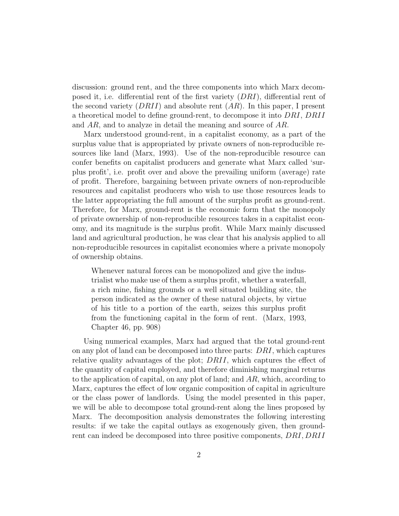discussion: ground rent, and the three components into which Marx decomposed it, i.e. differential rent of the first variety (DRI), differential rent of the second variety  $(DRII)$  and absolute rent  $(AR)$ . In this paper, I present a theoretical model to define ground-rent, to decompose it into DRI, DRII and AR, and to analyze in detail the meaning and source of AR.

Marx understood ground-rent, in a capitalist economy, as a part of the surplus value that is appropriated by private owners of non-reproducible resources like land (Marx, 1993). Use of the non-reproducible resource can confer benefits on capitalist producers and generate what Marx called 'surplus profit', i.e. profit over and above the prevailing uniform (average) rate of profit. Therefore, bargaining between private owners of non-reproducible resources and capitalist producers who wish to use those resources leads to the latter appropriating the full amount of the surplus profit as ground-rent. Therefore, for Marx, ground-rent is the economic form that the monopoly of private ownership of non-reproducible resources takes in a capitalist economy, and its magnitude is the surplus profit. While Marx mainly discussed land and agricultural production, he was clear that his analysis applied to all non-reproducible resources in capitalist economies where a private monopoly of ownership obtains.

Whenever natural forces can be monopolized and give the industrialist who make use of them a surplus profit, whether a waterfall, a rich mine, fishing grounds or a well situated building site, the person indicated as the owner of these natural objects, by virtue of his title to a portion of the earth, seizes this surplus profit from the functioning capital in the form of rent. (Marx, 1993, Chapter 46, pp. 908)

Using numerical examples, Marx had argued that the total ground-rent on any plot of land can be decomposed into three parts: DRI, which captures relative quality advantages of the plot; DRII, which captures the effect of the quantity of capital employed, and therefore diminishing marginal returns to the application of capital, on any plot of land; and  $AR$ , which, according to Marx, captures the effect of low organic composition of capital in agriculture or the class power of landlords. Using the model presented in this paper, we will be able to decompose total ground-rent along the lines proposed by Marx. The decomposition analysis demonstrates the following interesting results: if we take the capital outlays as exogenously given, then groundrent can indeed be decomposed into three positive components, DRI, DRII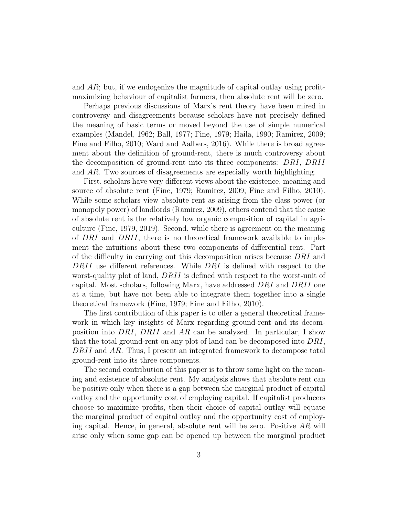and  $AR$ ; but, if we endogenize the magnitude of capital outlay using profitmaximizing behaviour of capitalist farmers, then absolute rent will be zero.

Perhaps previous discussions of Marx's rent theory have been mired in controversy and disagreements because scholars have not precisely defined the meaning of basic terms or moved beyond the use of simple numerical examples (Mandel, 1962; Ball, 1977; Fine, 1979; Haila, 1990; Ramirez, 2009; Fine and Filho, 2010; Ward and Aalbers, 2016). While there is broad agreement about the definition of ground-rent, there is much controversy about the decomposition of ground-rent into its three components: DRI, DRII and AR. Two sources of disagreements are especially worth highlighting.

First, scholars have very different views about the existence, meaning and source of absolute rent (Fine, 1979; Ramirez, 2009; Fine and Filho, 2010). While some scholars view absolute rent as arising from the class power (or monopoly power) of landlords (Ramirez, 2009), others contend that the cause of absolute rent is the relatively low organic composition of capital in agriculture (Fine, 1979, 2019). Second, while there is agreement on the meaning of DRI and DRII, there is no theoretical framework available to implement the intuitions about these two components of differential rent. Part of the difficulty in carrying out this decomposition arises because DRI and DRII use different references. While DRI is defined with respect to the worst-quality plot of land, DRII is defined with respect to the worst-unit of capital. Most scholars, following Marx, have addressed DRI and DRII one at a time, but have not been able to integrate them together into a single theoretical framework (Fine, 1979; Fine and Filho, 2010).

The first contribution of this paper is to offer a general theoretical framework in which key insights of Marx regarding ground-rent and its decomposition into DRI, DRII and AR can be analyzed. In particular, I show that the total ground-rent on any plot of land can be decomposed into DRI, DRII and AR. Thus, I present an integrated framework to decompose total ground-rent into its three components.

The second contribution of this paper is to throw some light on the meaning and existence of absolute rent. My analysis shows that absolute rent can be positive only when there is a gap between the marginal product of capital outlay and the opportunity cost of employing capital. If capitalist producers choose to maximize profits, then their choice of capital outlay will equate the marginal product of capital outlay and the opportunity cost of employing capital. Hence, in general, absolute rent will be zero. Positive  $AR$  will arise only when some gap can be opened up between the marginal product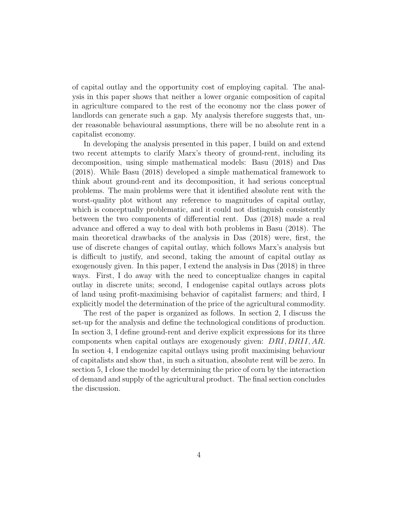of capital outlay and the opportunity cost of employing capital. The analysis in this paper shows that neither a lower organic composition of capital in agriculture compared to the rest of the economy nor the class power of landlords can generate such a gap. My analysis therefore suggests that, under reasonable behavioural assumptions, there will be no absolute rent in a capitalist economy.

In developing the analysis presented in this paper, I build on and extend two recent attempts to clarify Marx's theory of ground-rent, including its decomposition, using simple mathematical models: Basu (2018) and Das (2018). While Basu (2018) developed a simple mathematical framework to think about ground-rent and its decomposition, it had serious conceptual problems. The main problems were that it identified absolute rent with the worst-quality plot without any reference to magnitudes of capital outlay, which is conceptually problematic, and it could not distinguish consistently between the two components of differential rent. Das (2018) made a real advance and offered a way to deal with both problems in Basu (2018). The main theoretical drawbacks of the analysis in Das (2018) were, first, the use of discrete changes of capital outlay, which follows Marx's analysis but is difficult to justify, and second, taking the amount of capital outlay as exogenously given. In this paper, I extend the analysis in Das (2018) in three ways. First, I do away with the need to conceptualize changes in capital outlay in discrete units; second, I endogenise capital outlays across plots of land using profit-maximising behavior of capitalist farmers; and third, I explicitly model the determination of the price of the agricultural commodity.

The rest of the paper is organized as follows. In section 2, I discuss the set-up for the analysis and define the technological conditions of production. In section 3, I define ground-rent and derive explicit expressions for its three components when capital outlays are exogenously given: DRI, DRII, AR. In section 4, I endogenize capital outlays using profit maximising behaviour of capitalists and show that, in such a situation, absolute rent will be zero. In section 5, I close the model by determining the price of corn by the interaction of demand and supply of the agricultural product. The final section concludes the discussion.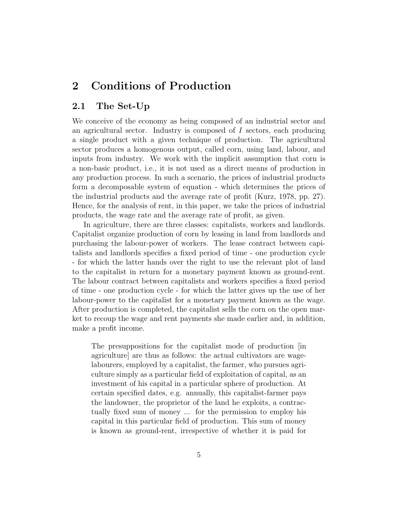## 2 Conditions of Production

#### 2.1 The Set-Up

We conceive of the economy as being composed of an industrial sector and an agricultural sector. Industry is composed of  $I$  sectors, each producing a single product with a given technique of production. The agricultural sector produces a homogenous output, called corn, using land, labour, and inputs from industry. We work with the implicit assumption that corn is a non-basic product, i.e., it is not used as a direct means of production in any production process. In such a scenario, the prices of industrial products form a decomposable system of equation - which determines the prices of the industrial products and the average rate of profit (Kurz, 1978, pp. 27). Hence, for the analysis of rent, in this paper, we take the prices of industrial products, the wage rate and the average rate of profit, as given.

In agriculture, there are three classes: capitalists, workers and landlords. Capitalist organize production of corn by leasing in land from landlords and purchasing the labour-power of workers. The lease contract between capitalists and landlords specifies a fixed period of time - one production cycle - for which the latter hands over the right to use the relevant plot of land to the capitalist in return for a monetary payment known as ground-rent. The labour contract between capitalists and workers specifies a fixed period of time - one production cycle - for which the latter gives up the use of her labour-power to the capitalist for a monetary payment known as the wage. After production is completed, the capitalist sells the corn on the open market to recoup the wage and rent payments she made earlier and, in addition, make a profit income.

The presuppositions for the capitalist mode of production  $\vert$ in agriculture] are thus as follows: the actual cultivators are wagelabourers, employed by a capitalist, the farmer, who pursues agriculture simply as a particular field of exploitation of capital, as an investment of his capital in a particular sphere of production. At certain specified dates, e.g. annually, this capitalist-farmer pays the landowner, the proprietor of the land he exploits, a contractually fixed sum of money ... for the permission to employ his capital in this particular field of production. This sum of money is known as ground-rent, irrespective of whether it is paid for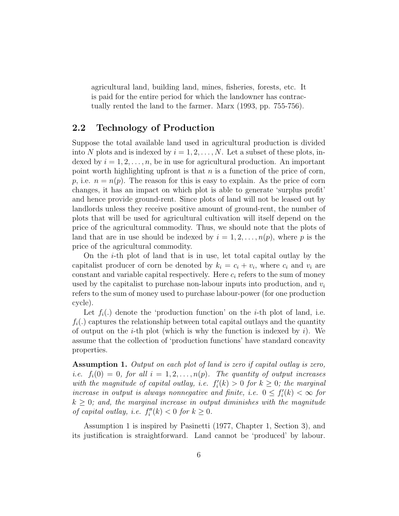agricultural land, building land, mines, fisheries, forests, etc. It is paid for the entire period for which the landowner has contractually rented the land to the farmer. Marx (1993, pp. 755-756).

#### 2.2 Technology of Production

Suppose the total available land used in agricultural production is divided into N plots and is indexed by  $i = 1, 2, ..., N$ . Let a subset of these plots, indexed by  $i = 1, 2, \ldots, n$ , be in use for agricultural production. An important point worth highlighting upfront is that  $n$  is a function of the price of corn, p, i.e.  $n = n(p)$ . The reason for this is easy to explain. As the price of corn changes, it has an impact on which plot is able to generate 'surplus profit' and hence provide ground-rent. Since plots of land will not be leased out by landlords unless they receive positive amount of ground-rent, the number of plots that will be used for agricultural cultivation will itself depend on the price of the agricultural commodity. Thus, we should note that the plots of land that are in use should be indexed by  $i = 1, 2, \ldots, n(p)$ , where p is the price of the agricultural commodity.

On the  $i$ -th plot of land that is in use, let total capital outlay by the capitalist producer of corn be denoted by  $k_i = c_i + v_i$ , where  $c_i$  and  $v_i$  are constant and variable capital respectively. Here  $c_i$  refers to the sum of money used by the capitalist to purchase non-labour inputs into production, and  $v_i$ refers to the sum of money used to purchase labour-power (for one production cycle).

Let  $f_i(.)$  denote the 'production function' on the *i*-th plot of land, i.e.  $f_i(.)$  captures the relationship between total capital outlays and the quantity of output on the *i*-th plot (which is why the function is indexed by *i*). We assume that the collection of 'production functions' have standard concavity properties.

Assumption 1. Output on each plot of land is zero if capital outlay is zero, *i.e.*  $f_i(0) = 0$ , for all  $i = 1, 2, ..., n(p)$ . The quantity of output increases with the magnitude of capital outlay, i.e.  $f_i'(k) > 0$  for  $k \geq 0$ ; the marginal increase in output is always nonnegative and finite, i.e.  $0 \le f'_i(k) < \infty$  for  $k \geq 0$ ; and, the marginal increase in output diminishes with the magnitude of capital outlay, i.e.  $f''_i(k) < 0$  for  $k \geq 0$ .

Assumption 1 is inspired by Pasinetti (1977, Chapter 1, Section 3), and its justification is straightforward. Land cannot be 'produced' by labour.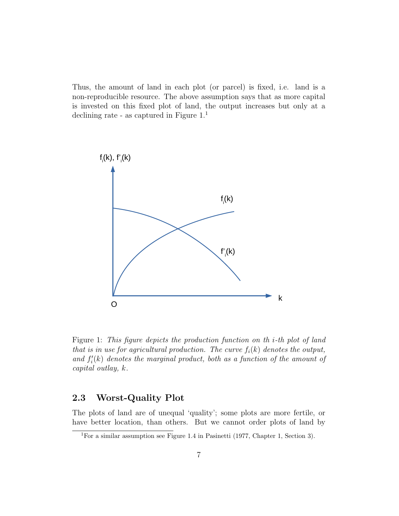Thus, the amount of land in each plot (or parcel) is fixed, i.e. land is a non-reproducible resource. The above assumption says that as more capital is invested on this fixed plot of land, the output increases but only at a declining rate - as captured in Figure  $1<sup>1</sup>$ 



Figure 1: This figure depicts the production function on th i-th plot of land that is in use for agricultural production. The curve  $f_i(k)$  denotes the output, and  $f'_{i}(k)$  denotes the marginal product, both as a function of the amount of capital outlay, k.

#### 2.3 Worst-Quality Plot

The plots of land are of unequal 'quality'; some plots are more fertile, or have better location, than others. But we cannot order plots of land by

<sup>1</sup>For a similar assumption see Figure 1.4 in Pasinetti (1977, Chapter 1, Section 3).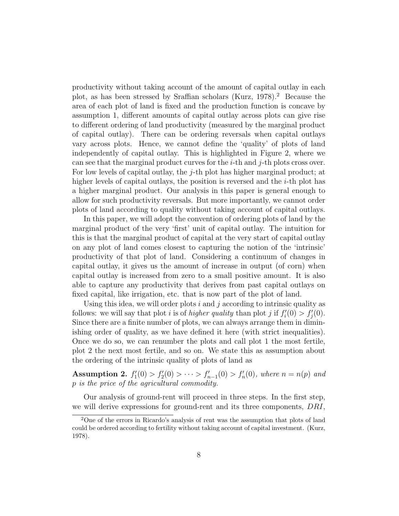productivity without taking account of the amount of capital outlay in each plot, as has been stressed by Sraffian scholars (Kurz, 1978).<sup>2</sup> Because the area of each plot of land is fixed and the production function is concave by assumption 1, different amounts of capital outlay across plots can give rise to different ordering of land productivity (measured by the marginal product of capital outlay). There can be ordering reversals when capital outlays vary across plots. Hence, we cannot define the 'quality' of plots of land independently of capital outlay. This is highlighted in Figure 2, where we can see that the marginal product curves for the *i*-th and *j*-th plots cross over. For low levels of capital outlay, the j-th plot has higher marginal product; at higher levels of capital outlays, the position is reversed and the  $i$ -th plot has a higher marginal product. Our analysis in this paper is general enough to allow for such productivity reversals. But more importantly, we cannot order plots of land according to quality without taking account of capital outlays.

In this paper, we will adopt the convention of ordering plots of land by the marginal product of the very 'first' unit of capital outlay. The intuition for this is that the marginal product of capital at the very start of capital outlay on any plot of land comes closest to capturing the notion of the 'intrinsic' productivity of that plot of land. Considering a continuum of changes in capital outlay, it gives us the amount of increase in output (of corn) when capital outlay is increased from zero to a small positive amount. It is also able to capture any productivity that derives from past capital outlays on fixed capital, like irrigation, etc. that is now part of the plot of land.

Using this idea, we will order plots  $i$  and  $j$  according to intrinsic quality as follows: we will say that plot *i* is of *higher quality* than plot *j* if  $f_i'(0) > f_j'(0)$ . Since there are a finite number of plots, we can always arrange them in diminishing order of quality, as we have defined it here (with strict inequalities). Once we do so, we can renumber the plots and call plot 1 the most fertile, plot 2 the next most fertile, and so on. We state this as assumption about the ordering of the intrinsic quality of plots of land as

Assumption 2.  $f'_{1}(0) > f'_{2}(0) > \cdots > f'_{n-1}(0) > f'_{n}(0)$ , where  $n = n(p)$  and p is the price of the agricultural commodity.

Our analysis of ground-rent will proceed in three steps. In the first step, we will derive expressions for ground-rent and its three components, DRI,

<sup>2</sup>One of the errors in Ricardo's analysis of rent was the assumption that plots of land could be ordered according to fertility without taking account of capital investment. (Kurz, 1978).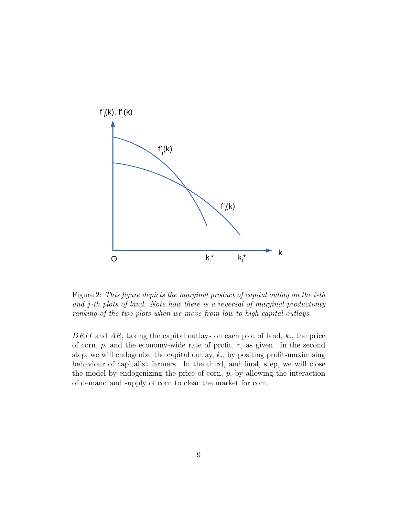

Figure 2: This figure depicts the marginal product of capital outlay on the i-th and j-th plots of land. Note how there is a reversal of marginal productivity ranking of the two plots when we move from low to high capital outlays.

DRII and AR, taking the capital outlays on each plot of land,  $k_i$ , the price of corn,  $p$ , and the economy-wide rate of profit,  $r$ , as given. In the second step, we will endogenize the capital outlay,  $k_i$ , by positing profit-maximising behaviour of capitalist farmers. In the third, and final, step, we will close the model by endogenizing the price of corn,  $p$ , by allowing the interaction of demand and supply of corn to clear the market for corn.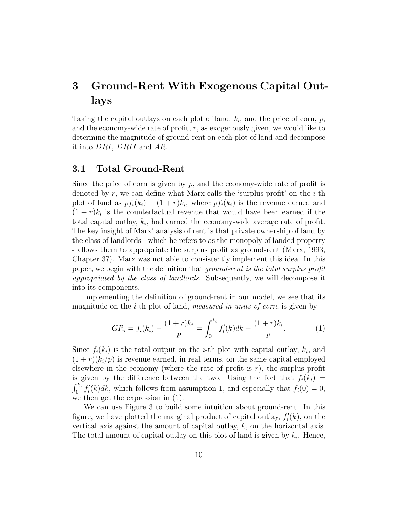## 3 Ground-Rent With Exogenous Capital Outlays

Taking the capital outlays on each plot of land,  $k_i$ , and the price of corn,  $p$ , and the economy-wide rate of profit,  $r$ , as exogenously given, we would like to determine the magnitude of ground-rent on each plot of land and decompose it into DRI, DRII and AR.

#### 3.1 Total Ground-Rent

Since the price of corn is given by  $p$ , and the economy-wide rate of profit is denoted by  $r$ , we can define what Marx calls the 'surplus profit' on the  $i$ -th plot of land as  $pf_i(k_i) - (1 + r)k_i$ , where  $pf_i(k_i)$  is the revenue earned and  $(1 + r)k_i$  is the counterfactual revenue that would have been earned if the total capital outlay,  $k_i$ , had earned the economy-wide average rate of profit. The key insight of Marx' analysis of rent is that private ownership of land by the class of landlords - which he refers to as the monopoly of landed property - allows them to appropriate the surplus profit as ground-rent (Marx, 1993, Chapter 37). Marx was not able to consistently implement this idea. In this paper, we begin with the definition that ground-rent is the total surplus profit appropriated by the class of landlords. Subsequently, we will decompose it into its components.

Implementing the definition of ground-rent in our model, we see that its magnitude on the *i*-th plot of land, *measured in units of corn*, is given by

$$
GR_i = f_i(k_i) - \frac{(1+r)k_i}{p} = \int_0^{k_i} f'_i(k)dk - \frac{(1+r)k_i}{p}.
$$
 (1)

Since  $f_i(k_i)$  is the total output on the *i*-th plot with capital outlay,  $k_i$ , and  $(1 + r)(k_i/p)$  is revenue earned, in real terms, on the same capital employed elsewhere in the economy (where the rate of profit is  $r$ ), the surplus profit is given by the difference between the two. Using the fact that  $f_i(k_i)$  =  $\int_0^{k_i} f'_i(k)dk$ , which follows from assumption 1, and especially that  $f_i(0) = 0$ , we then get the expression in (1).

We can use Figure 3 to build some intuition about ground-rent. In this figure, we have plotted the marginal product of capital outlay,  $f_i'(k)$ , on the vertical axis against the amount of capital outlay,  $k$ , on the horizontal axis. The total amount of capital outlay on this plot of land is given by  $k_i$ . Hence,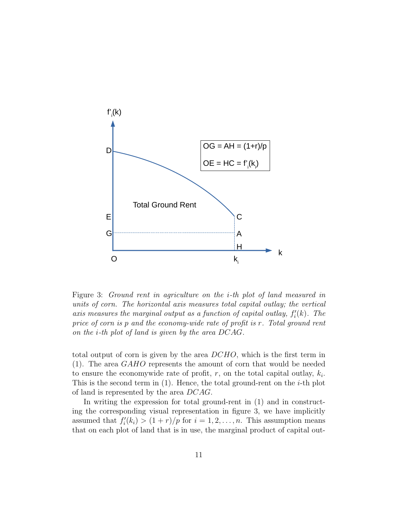

Figure 3: Ground rent in agriculture on the i-th plot of land measured in units of corn. The horizontal axis measures total capital outlay; the vertical axis measures the marginal output as a function of capital outlay,  $f_i'(k)$ . The price of corn is p and the economy-wide rate of profit is r. Total ground rent on the i-th plot of land is given by the area DCAG.

total output of corn is given by the area DCHO, which is the first term in (1). The area GAHO represents the amount of corn that would be needed to ensure the economywide rate of profit,  $r$ , on the total capital outlay,  $k_i$ . This is the second term in  $(1)$ . Hence, the total ground-rent on the *i*-th plot of land is represented by the area DCAG.

In writing the expression for total ground-rent in (1) and in constructing the corresponding visual representation in figure 3, we have implicitly assumed that  $f_i'(k_i) > (1+r)/p$  for  $i = 1, 2, ..., n$ . This assumption means that on each plot of land that is in use, the marginal product of capital out-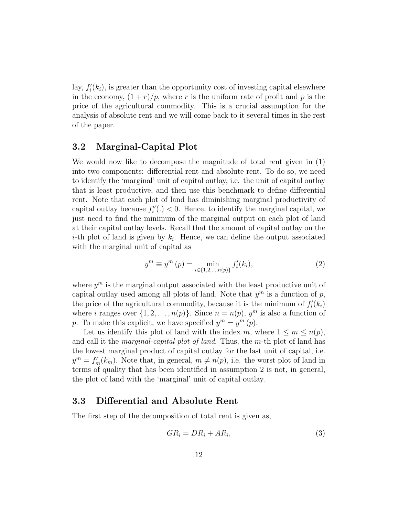lay,  $f_i'(k_i)$ , is greater than the opportunity cost of investing capital elsewhere in the economy,  $(1 + r)/p$ , where r is the uniform rate of profit and p is the price of the agricultural commodity. This is a crucial assumption for the analysis of absolute rent and we will come back to it several times in the rest of the paper.

#### 3.2 Marginal-Capital Plot

We would now like to decompose the magnitude of total rent given in (1) into two components: differential rent and absolute rent. To do so, we need to identify the 'marginal' unit of capital outlay, i.e. the unit of capital outlay that is least productive, and then use this benchmark to define differential rent. Note that each plot of land has diminishing marginal productivity of capital outlay because  $f''_i(.) < 0$ . Hence, to identify the marginal capital, we just need to find the minimum of the marginal output on each plot of land at their capital outlay levels. Recall that the amount of capital outlay on the *i*-th plot of land is given by  $k_i$ . Hence, we can define the output associated with the marginal unit of capital as

$$
y^{m} \equiv y^{m} \left( p \right) = \min_{i \in \{1, 2, \dots, n(p)\}} f'_{i}(k_{i}), \tag{2}
$$

where  $y^m$  is the marginal output associated with the least productive unit of capital outlay used among all plots of land. Note that  $y^m$  is a function of p, the price of the agricultural commodity, because it is the minimum of  $f_i'(k_i)$ where *i* ranges over  $\{1, 2, ..., n(p)\}$ . Since  $n = n(p)$ ,  $y<sup>m</sup>$  is also a function of p. To make this explicit, we have specified  $y^m = y^m(p)$ .

Let us identify this plot of land with the index m, where  $1 \leq m \leq n(p)$ , and call it the *marginal-capital plot of land*. Thus, the m-th plot of land has the lowest marginal product of capital outlay for the last unit of capital, i.e.  $y^m = f'_m(k_m)$ . Note that, in general,  $m \neq n(p)$ , i.e. the worst plot of land in terms of quality that has been identified in assumption 2 is not, in general, the plot of land with the 'marginal' unit of capital outlay.

#### 3.3 Differential and Absolute Rent

The first step of the decomposition of total rent is given as,

$$
GR_i = DR_i + AR_i, \tag{3}
$$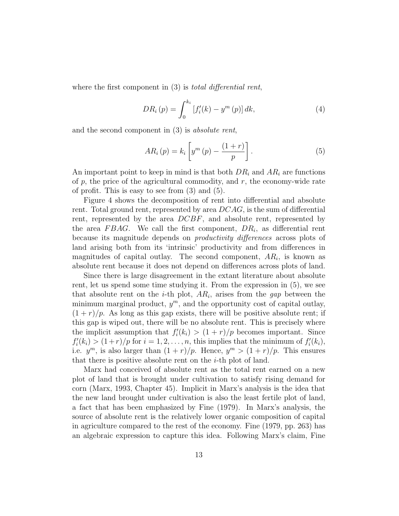where the first component in (3) is *total differential rent*,

$$
DR_i(p) = \int_0^{k_i} [f'_i(k) - y^m(p)] dk,
$$
\n(4)

and the second component in (3) is absolute rent,

$$
AR_i(p) = k_i \left[ y^m(p) - \frac{(1+r)}{p} \right]. \tag{5}
$$

An important point to keep in mind is that both  $DR_i$  and  $AR_i$  are functions of  $p$ , the price of the agricultural commodity, and  $r$ , the economy-wide rate of profit. This is easy to see from (3) and (5).

Figure 4 shows the decomposition of rent into differential and absolute rent. Total ground rent, represented by area DCAG, is the sum of differential rent, represented by the area DCBF, and absolute rent, represented by the area  $FBAG$ . We call the first component,  $DR<sub>i</sub>$ , as differential rent because its magnitude depends on productivity differences across plots of land arising both from its 'intrinsic' productivity and from differences in magnitudes of capital outlay. The second component,  $AR_i$ , is known as absolute rent because it does not depend on differences across plots of land.

Since there is large disagreement in the extant literature about absolute rent, let us spend some time studying it. From the expression in (5), we see that absolute rent on the *i*-th plot,  $AR_i$ , arises from the gap between the minimum marginal product,  $y^m$ , and the opportunity cost of capital outlay,  $(1 + r)/p$ . As long as this gap exists, there will be positive absolute rent; if this gap is wiped out, there will be no absolute rent. This is precisely where the implicit assumption that  $f_i'(k_i) > (1+r)/p$  becomes important. Since  $f_i'(k_i) > (1+r)/p$  for  $i = 1, 2, ..., n$ , this implies that the minimum of  $f_i'(k_i)$ , i.e.  $y^m$ , is also larger than  $(1 + r)/p$ . Hence,  $y^m > (1 + r)/p$ . This ensures that there is positive absolute rent on the  $i$ -th plot of land.

Marx had conceived of absolute rent as the total rent earned on a new plot of land that is brought under cultivation to satisfy rising demand for corn (Marx, 1993, Chapter 45). Implicit in Marx's analysis is the idea that the new land brought under cultivation is also the least fertile plot of land, a fact that has been emphasized by Fine (1979). In Marx's analysis, the source of absolute rent is the relatively lower organic composition of capital in agriculture compared to the rest of the economy. Fine (1979, pp. 263) has an algebraic expression to capture this idea. Following Marx's claim, Fine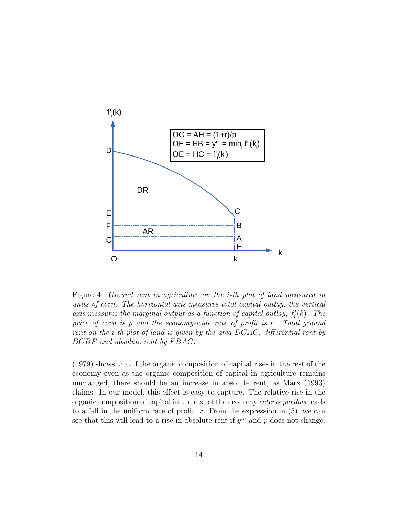

Figure 4: Ground rent in agriculture on the i-th plot of land measured in units of corn. The horizontal axis measures total capital outlay; the vertical axis measures the marginal output as a function of capital outlay,  $f_i'(k)$ . The price of corn is p and the economy-wide rate of profit is r. Total ground rent on the i-th plot of land is given by the area DCAG, differential rent by DCBF and absolute rent by FBAG.

(1979) shows that if the organic composition of capital rises in the rest of the economy even as the organic composition of capital in agriculture remains unchanged, there should be an increase in absolute rent, as Marx (1993) claims. In our model, this effect is easy to capture. The relative rise in the organic composition of capital in the rest of the economy ceteris paribus leads to a fall in the uniform rate of profit,  $r$ . From the expression in  $(5)$ , we can see that this will lead to a rise in absolute rent if  $y^m$  and p does not change.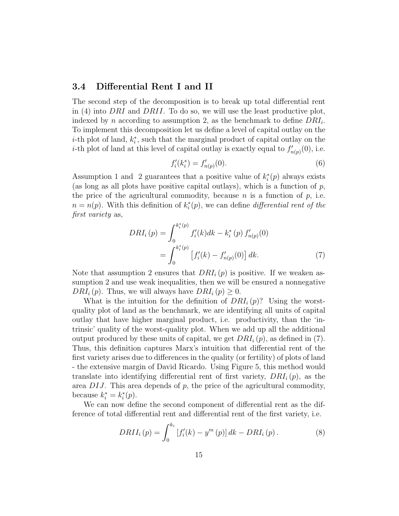#### 3.4 Differential Rent I and II

The second step of the decomposition is to break up total differential rent in (4) into DRI and DRII. To do so, we will use the least productive plot, indexed by n according to assumption 2, as the benchmark to define  $DRI_i$ . To implement this decomposition let us define a level of capital outlay on the  $i$ -th plot of land,  $k_i^*$ , such that the marginal product of capital outlay on the *i*-th plot of land at this level of capital outlay is exactly equal to  $f'_{n(p)}(0)$ , i.e.

$$
f_i'(k_i^*) = f_{n(p)}'(0). \tag{6}
$$

Assumption 1 and 2 guarantees that a positive value of  $k_i^*(p)$  always exists (as long as all plots have positive capital outlays), which is a function of  $p$ , the price of the agricultural commodity, because n is a function of  $p$ , i.e.  $n = n(p)$ . With this definition of  $k_i^*(p)$ , we can define *differential rent of the* first variety as,

$$
DRI_i(p) = \int_0^{k_i^*(p)} f_i'(k)dk - k_i^*(p) f_{n(p)}'(0)
$$
  
= 
$$
\int_0^{k_i^*(p)} \left[ f_i'(k) - f_{n(p)}'(0) \right] dk.
$$
 (7)

Note that assumption 2 ensures that  $DRI_i(p)$  is positive. If we weaken assumption 2 and use weak inequalities, then we will be ensured a nonnegative  $DRI_i(p)$ . Thus, we will always have  $DRI_i(p) \geq 0$ .

What is the intuition for the definition of  $DRI_i(p)$ ? Using the worstquality plot of land as the benchmark, we are identifying all units of capital outlay that have higher marginal product, i.e. productivity, than the 'intrinsic' quality of the worst-quality plot. When we add up all the additional output produced by these units of capital, we get  $DRI_i(p)$ , as defined in (7). Thus, this definition captures Marx's intuition that differential rent of the first variety arises due to differences in the quality (or fertility) of plots of land - the extensive margin of David Ricardo. Using Figure 5, this method would translate into identifying differential rent of first variety,  $DRI_i(p)$ , as the area  $DIJ$ . This area depends of  $p$ , the price of the agricultural commodity, because  $k_i^* = k_i^*(p)$ .

We can now define the second component of differential rent as the difference of total differential rent and differential rent of the first variety, i.e.

$$
DRII_i(p) = \int_0^{k_i} [f'_i(k) - y^m(p)] dk - DRI_i(p).
$$
 (8)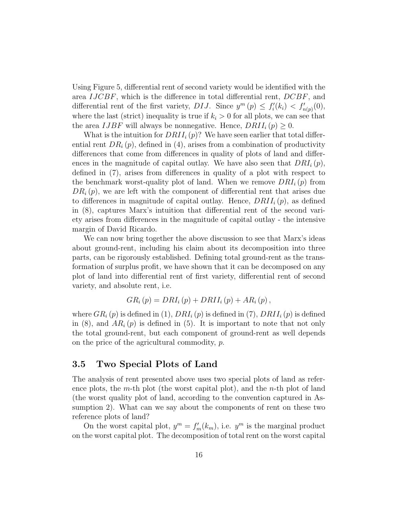Using Figure 5, differential rent of second variety would be identified with the area IJCBF, which is the difference in total differential rent, DCBF, and differential rent of the first variety, DIJ. Since  $y^m(p) \leq f'_i(k_i) < f'_{n(p)}(0)$ , where the last (strict) inequality is true if  $k<sub>i</sub> > 0$  for all plots, we can see that the area *IJBF* will always be nonnegative. Hence,  $DRII_i(p) \geq 0$ .

What is the intuition for  $DRII_i(p)$ ? We have seen earlier that total differential rent  $DR<sub>i</sub>(p)$ , defined in (4), arises from a combination of productivity differences that come from differences in quality of plots of land and differences in the magnitude of capital outlay. We have also seen that  $DRI_i(p)$ , defined in (7), arises from differences in quality of a plot with respect to the benchmark worst-quality plot of land. When we remove  $DRI_i(p)$  from  $DR_i(p)$ , we are left with the component of differential rent that arises due to differences in magnitude of capital outlay. Hence,  $DRII_i(p)$ , as defined in (8), captures Marx's intuition that differential rent of the second variety arises from differences in the magnitude of capital outlay - the intensive margin of David Ricardo.

We can now bring together the above discussion to see that Marx's ideas about ground-rent, including his claim about its decomposition into three parts, can be rigorously established. Defining total ground-rent as the transformation of surplus profit, we have shown that it can be decomposed on any plot of land into differential rent of first variety, differential rent of second variety, and absolute rent, i.e.

$$
GR_i(p) = DRI_i(p) + DRII_i(p) + AR_i(p),
$$

where  $GR_i(p)$  is defined in (1),  $DRI_i(p)$  is defined in (7),  $DRII_i(p)$  is defined in (8), and  $AR_i(p)$  is defined in (5). It is important to note that not only the total ground-rent, but each component of ground-rent as well depends on the price of the agricultural commodity, p.

#### 3.5 Two Special Plots of Land

The analysis of rent presented above uses two special plots of land as reference plots, the m-th plot (the worst capital plot), and the n-th plot of land (the worst quality plot of land, according to the convention captured in Assumption 2). What can we say about the components of rent on these two reference plots of land?

On the worst capital plot,  $y^m = f'_m(k_m)$ , i.e.  $y^m$  is the marginal product on the worst capital plot. The decomposition of total rent on the worst capital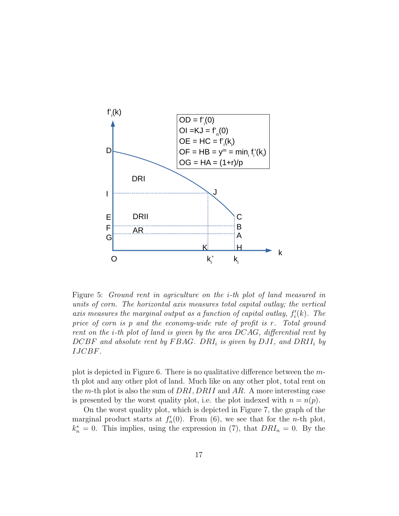

Figure 5: Ground rent in agriculture on the i-th plot of land measured in units of corn. The horizontal axis measures total capital outlay; the vertical axis measures the marginal output as a function of capital outlay,  $f_i'(k)$ . The price of corn is p and the economy-wide rate of profit is r. Total ground rent on the i-th plot of land is given by the area DCAG, differential rent by  $DCBF$  and absolute rent by FBAG. DRI<sub>i</sub> is given by DJI, and DRII<sub>i</sub> by IJCBF.

plot is depicted in Figure 6. There is no qualitative difference between the mth plot and any other plot of land. Much like on any other plot, total rent on the m-th plot is also the sum of  $DRI$ ,  $DRII$  and AR. A more interesting case is presented by the worst quality plot, i.e. the plot indexed with  $n = n(p)$ .

On the worst quality plot, which is depicted in Figure 7, the graph of the marginal product starts at  $f'_n(0)$ . From (6), we see that for the *n*-th plot,  $k_n^* = 0$ . This implies, using the expression in (7), that  $DRI_n = 0$ . By the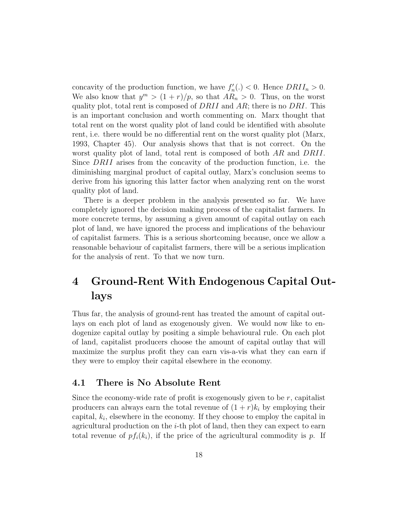concavity of the production function, we have  $f'_n(.) < 0$ . Hence  $DRII_n > 0$ . We also know that  $y^m > (1+r)/p$ , so that  $AR_n > 0$ . Thus, on the worst quality plot, total rent is composed of  $DRII$  and  $AR$ ; there is no  $DRI$ . This is an important conclusion and worth commenting on. Marx thought that total rent on the worst quality plot of land could be identified with absolute rent, i.e. there would be no differential rent on the worst quality plot (Marx, 1993, Chapter 45). Our analysis shows that that is not correct. On the worst quality plot of land, total rent is composed of both AR and DRII. Since DRII arises from the concavity of the production function, i.e. the diminishing marginal product of capital outlay, Marx's conclusion seems to derive from his ignoring this latter factor when analyzing rent on the worst quality plot of land.

There is a deeper problem in the analysis presented so far. We have completely ignored the decision making process of the capitalist farmers. In more concrete terms, by assuming a given amount of capital outlay on each plot of land, we have ignored the process and implications of the behaviour of capitalist farmers. This is a serious shortcoming because, once we allow a reasonable behaviour of capitalist farmers, there will be a serious implication for the analysis of rent. To that we now turn.

## 4 Ground-Rent With Endogenous Capital Outlays

Thus far, the analysis of ground-rent has treated the amount of capital outlays on each plot of land as exogenously given. We would now like to endogenize capital outlay by positing a simple behavioural rule. On each plot of land, capitalist producers choose the amount of capital outlay that will maximize the surplus profit they can earn vis-a-vis what they can earn if they were to employ their capital elsewhere in the economy.

#### 4.1 There is No Absolute Rent

Since the economy-wide rate of profit is exogenously given to be  $r$ , capitalist producers can always earn the total revenue of  $(1 + r)k_i$  by employing their capital,  $k_i$ , elsewhere in the economy. If they choose to employ the capital in agricultural production on the i-th plot of land, then they can expect to earn total revenue of  $pf_i(k_i)$ , if the price of the agricultural commodity is p. If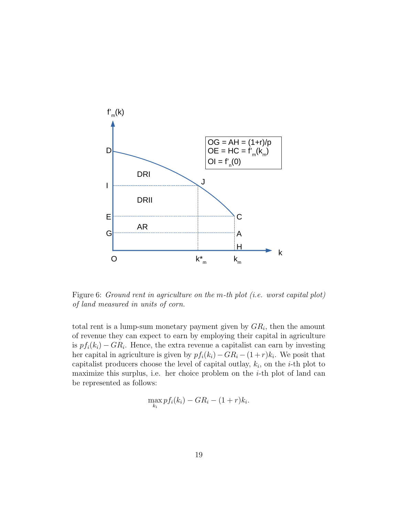

Figure 6: Ground rent in agriculture on the m-th plot (i.e. worst capital plot) of land measured in units of corn.

total rent is a lump-sum monetary payment given by  $GR_i$ , then the amount of revenue they can expect to earn by employing their capital in agriculture is  $pf_i(k_i) - GR_i$ . Hence, the extra revenue a capitalist can earn by investing her capital in agriculture is given by  $pf_i(k_i) - GR_i - (1+r)k_i$ . We posit that capitalist producers choose the level of capital outlay,  $k_i$ , on the *i*-th plot to maximize this surplus, i.e. her choice problem on the  $i$ -th plot of land can be represented as follows:

$$
\max_{k_i} pf_i(k_i) - GR_i - (1+r)k_i.
$$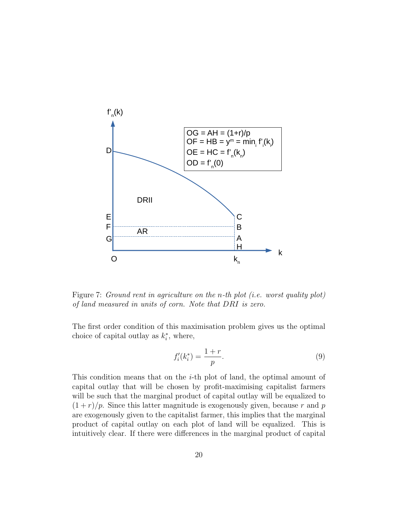

Figure 7: Ground rent in agriculture on the n-th plot (i.e. worst quality plot) of land measured in units of corn. Note that DRI is zero.

The first order condition of this maximisation problem gives us the optimal choice of capital outlay as  $k_i^*$ , where,

$$
f_i'(k_i^*) = \frac{1+r}{p}.\tag{9}
$$

This condition means that on the i-th plot of land, the optimal amount of capital outlay that will be chosen by profit-maximising capitalist farmers will be such that the marginal product of capital outlay will be equalized to  $(1 + r)/p$ . Since this latter magnitude is exogenously given, because r and p are exogenously given to the capitalist farmer, this implies that the marginal product of capital outlay on each plot of land will be equalized. This is intuitively clear. If there were differences in the marginal product of capital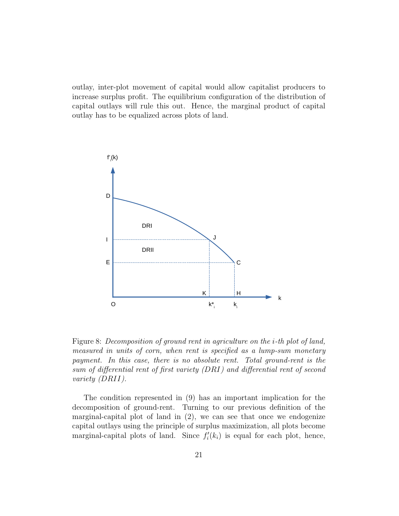outlay, inter-plot movement of capital would allow capitalist producers to increase surplus profit. The equilibrium configuration of the distribution of capital outlays will rule this out. Hence, the marginal product of capital outlay has to be equalized across plots of land.



Figure 8: Decomposition of ground rent in agriculture on the i-th plot of land, measured in units of corn, when rent is specified as a lump-sum monetary payment. In this case, there is no absolute rent. Total ground-rent is the sum of differential rent of first variety (DRI) and differential rent of second variety (DRII).

The condition represented in (9) has an important implication for the decomposition of ground-rent. Turning to our previous definition of the marginal-capital plot of land in (2), we can see that once we endogenize capital outlays using the principle of surplus maximization, all plots become marginal-capital plots of land. Since  $f_i'(k_i)$  is equal for each plot, hence,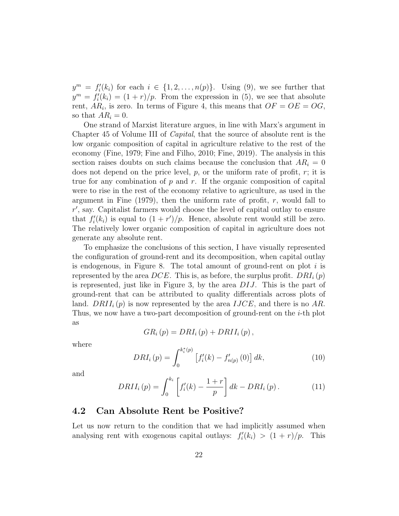$y^m = f'_i(k_i)$  for each  $i \in \{1, 2, ..., n(p)\}$ . Using (9), we see further that  $y^m = f'_i(k_i) = (1+r)/p$ . From the expression in (5), we see that absolute rent,  $AR_i$ , is zero. In terms of Figure 4, this means that  $OF = OE = OG$ , so that  $AR_i = 0$ .

One strand of Marxist literature argues, in line with Marx's argument in Chapter 45 of Volume III of Capital, that the source of absolute rent is the low organic composition of capital in agriculture relative to the rest of the economy (Fine, 1979; Fine and Filho, 2010; Fine, 2019). The analysis in this section raises doubts on such claims because the conclusion that  $AR_i = 0$ does not depend on the price level,  $p$ , or the uniform rate of profit,  $r$ ; it is true for any combination of  $p$  and  $r$ . If the organic composition of capital were to rise in the rest of the economy relative to agriculture, as used in the argument in Fine  $(1979)$ , then the uniform rate of profit, r, would fall to  $r'$ , say. Capitalist farmers would choose the level of capital outlay to ensure that  $f_i'(k_i)$  is equal to  $(1 + r')/p$ . Hence, absolute rent would still be zero. The relatively lower organic composition of capital in agriculture does not generate any absolute rent.

To emphasize the conclusions of this section, I have visually represented the configuration of ground-rent and its decomposition, when capital outlay is endogenous, in Figure 8. The total amount of ground-rent on plot  $i$  is represented by the area  $DCE$ . This is, as before, the surplus profit.  $DRI_i(p)$ is represented, just like in Figure 3, by the area DIJ. This is the part of ground-rent that can be attributed to quality differentials across plots of land.  $DRII_i(p)$  is now represented by the area  $IJCE$ , and there is no AR. Thus, we now have a two-part decomposition of ground-rent on the i-th plot as

$$
GR_i(p) = DRI_i(p) + DRII_i(p),
$$

where

$$
DRI_{i}(p) = \int_{0}^{k_{i}^{*}(p)} \left[ f_{i}'(k) - f_{n(p)}'(0) \right] dk, \qquad (10)
$$

and

$$
DRII_{i}(p) = \int_{0}^{k_{i}} \left[ f'_{i}(k) - \frac{1+r}{p} \right] dk - DRI_{i}(p).
$$
 (11)

#### 4.2 Can Absolute Rent be Positive?

Let us now return to the condition that we had implicitly assumed when analysing rent with exogenous capital outlays:  $f_i'(k_i) > (1+r)/p$ . This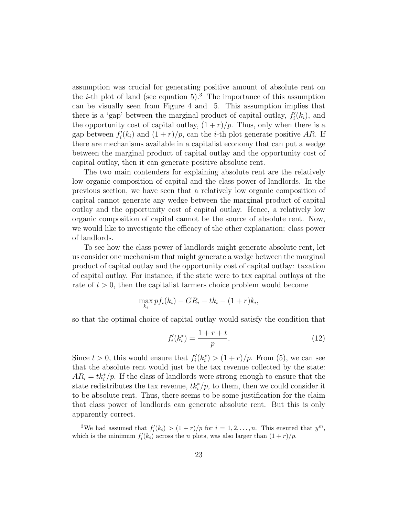assumption was crucial for generating positive amount of absolute rent on the *i*-th plot of land (see equation 5).<sup>3</sup> The importance of this assumption can be visually seen from Figure 4 and 5. This assumption implies that there is a 'gap' between the marginal product of capital outlay,  $f_i'(k_i)$ , and the opportunity cost of capital outlay,  $(1 + r)/p$ . Thus, only when there is a gap between  $f_i'(k_i)$  and  $(1+r)/p$ , can the *i*-th plot generate positive AR. If there are mechanisms available in a capitalist economy that can put a wedge between the marginal product of capital outlay and the opportunity cost of capital outlay, then it can generate positive absolute rent.

The two main contenders for explaining absolute rent are the relatively low organic composition of capital and the class power of landlords. In the previous section, we have seen that a relatively low organic composition of capital cannot generate any wedge between the marginal product of capital outlay and the opportunity cost of capital outlay. Hence, a relatively low organic composition of capital cannot be the source of absolute rent. Now, we would like to investigate the efficacy of the other explanation: class power of landlords.

To see how the class power of landlords might generate absolute rent, let us consider one mechanism that might generate a wedge between the marginal product of capital outlay and the opportunity cost of capital outlay: taxation of capital outlay. For instance, if the state were to tax capital outlays at the rate of  $t > 0$ , then the capitalist farmers choice problem would become

$$
\max_{k_i} p f_i(k_i) - GR_i - tk_i - (1+r)k_i,
$$

so that the optimal choice of capital outlay would satisfy the condition that

$$
f_i'(k_i^*) = \frac{1+r+t}{p}.\tag{12}
$$

Since  $t > 0$ , this would ensure that  $f_i'(k_i^*) > (1+r)/p$ . From (5), we can see that the absolute rent would just be the tax revenue collected by the state:  $AR_i = tk_i^*/p$ . If the class of landlords were strong enough to ensure that the state redistributes the tax revenue,  $tk_i^*/p$ , to them, then we could consider it to be absolute rent. Thus, there seems to be some justification for the claim that class power of landlords can generate absolute rent. But this is only apparently correct.

<sup>&</sup>lt;sup>3</sup>We had assumed that  $f_i'(k_i) > (1+r)/p$  for  $i = 1, 2, ..., n$ . This ensured that  $y^m$ , which is the minimum  $f_i'(k_i)$  across the *n* plots, was also larger than  $(1+r)/p$ .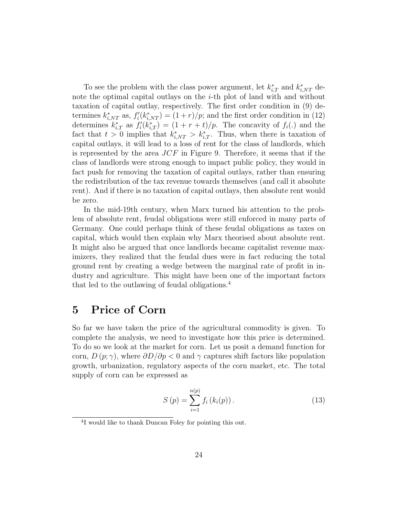To see the problem with the class power argument, let  $k_{i,T}^*$  and  $k_{i,NT}^*$  denote the optimal capital outlays on the  $i$ -th plot of land with and without taxation of capital outlay, respectively. The first order condition in (9) determines  $k_{i,NT}^*$  as,  $f_i'(k_{i,NT}^*) = (1+r)/p$ ; and the first order condition in (12) determines  $k_{i,T}^*$  as  $f_i'(k_{i,T}^*) = (1 + r + t)/p$ . The concavity of  $f_i(.)$  and the fact that  $t > 0$  implies that  $k_{i,NT}^* > k_{i,T}^*$ . Thus, when there is taxation of capital outlays, it will lead to a loss of rent for the class of landlords, which is represented by the area  $JCF$  in Figure 9. Therefore, it seems that if the class of landlords were strong enough to impact public policy, they would in fact push for removing the taxation of capital outlays, rather than ensuring the redistribution of the tax revenue towards themselves (and call it absolute rent). And if there is no taxation of capital outlays, then absolute rent would be zero.

In the mid-19th century, when Marx turned his attention to the problem of absolute rent, feudal obligations were still enforced in many parts of Germany. One could perhaps think of these feudal obligations as taxes on capital, which would then explain why Marx theorised about absolute rent. It might also be argued that once landlords became capitalist revenue maximizers, they realized that the feudal dues were in fact reducing the total ground rent by creating a wedge between the marginal rate of profit in industry and agriculture. This might have been one of the important factors that led to the outlawing of feudal obligations.<sup>4</sup>

## 5 Price of Corn

So far we have taken the price of the agricultural commodity is given. To complete the analysis, we need to investigate how this price is determined. To do so we look at the market for corn. Let us posit a demand function for corn,  $D(p;\gamma)$ , where  $\partial D/\partial p < 0$  and  $\gamma$  captures shift factors like population growth, urbanization, regulatory aspects of the corn market, etc. The total supply of corn can be expressed as

$$
S(p) = \sum_{i=1}^{n(p)} f_i(k_i(p)).
$$
 (13)

<sup>4</sup> I would like to thank Duncan Foley for pointing this out.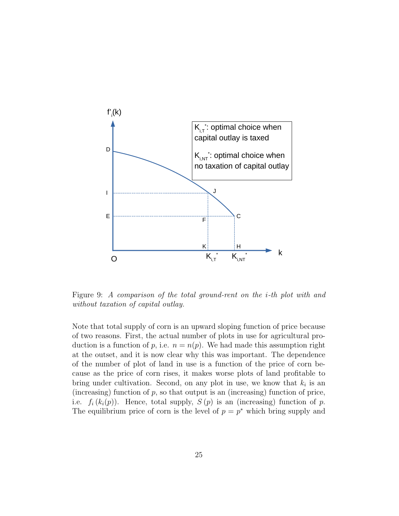

Figure 9: A comparison of the total ground-rent on the i-th plot with and without taxation of capital outlay.

Note that total supply of corn is an upward sloping function of price because of two reasons. First, the actual number of plots in use for agricultural production is a function of p, i.e.  $n = n(p)$ . We had made this assumption right at the outset, and it is now clear why this was important. The dependence of the number of plot of land in use is a function of the price of corn because as the price of corn rises, it makes worse plots of land profitable to bring under cultivation. Second, on any plot in use, we know that  $k_i$  is an (increasing) function of  $p$ , so that output is an (increasing) function of price, i.e.  $f_i(k_i(p))$ . Hence, total supply,  $S(p)$  is an (increasing) function of p. The equilibrium price of corn is the level of  $p = p^*$  which bring supply and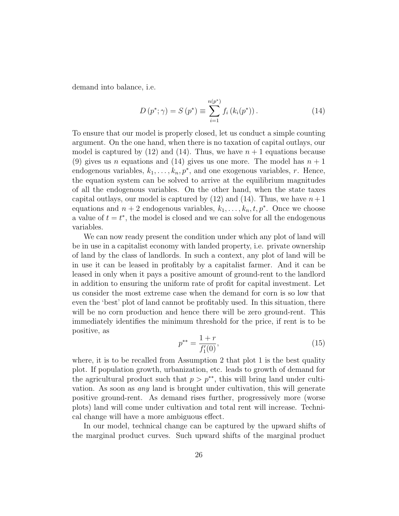demand into balance, i.e.

$$
D(p^*; \gamma) = S(p^*) \equiv \sum_{i=1}^{n(p^*)} f_i(k_i(p^*)).
$$
 (14)

To ensure that our model is properly closed, let us conduct a simple counting argument. On the one hand, when there is no taxation of capital outlays, our model is captured by  $(12)$  and  $(14)$ . Thus, we have  $n + 1$  equations because (9) gives us n equations and (14) gives us one more. The model has  $n + 1$ endogenous variables,  $k_1, \ldots, k_n, p^*$ , and one exogenous variables, r. Hence, the equation system can be solved to arrive at the equilibrium magnitudes of all the endogenous variables. On the other hand, when the state taxes capital outlays, our model is captured by  $(12)$  and  $(14)$ . Thus, we have  $n+1$ equations and  $n + 2$  endogenous variables,  $k_1, \ldots, k_n, t, p^*$ . Once we choose a value of  $t = t^*$ , the model is closed and we can solve for all the endogenous variables.

We can now ready present the condition under which any plot of land will be in use in a capitalist economy with landed property, i.e. private ownership of land by the class of landlords. In such a context, any plot of land will be in use it can be leased in profitably by a capitalist farmer. And it can be leased in only when it pays a positive amount of ground-rent to the landlord in addition to ensuring the uniform rate of profit for capital investment. Let us consider the most extreme case when the demand for corn is so low that even the 'best' plot of land cannot be profitably used. In this situation, there will be no corn production and hence there will be zero ground-rent. This immediately identifies the minimum threshold for the price, if rent is to be positive, as

$$
p^{**} = \frac{1+r}{f_1'(0)},\tag{15}
$$

where, it is to be recalled from Assumption 2 that plot 1 is the best quality plot. If population growth, urbanization, etc. leads to growth of demand for the agricultural product such that  $p > p^{**}$ , this will bring land under cultivation. As soon as any land is brought under cultivation, this will generate positive ground-rent. As demand rises further, progressively more (worse plots) land will come under cultivation and total rent will increase. Technical change will have a more ambiguous effect.

In our model, technical change can be captured by the upward shifts of the marginal product curves. Such upward shifts of the marginal product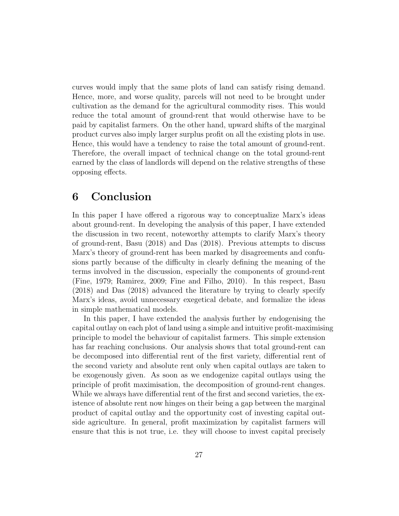curves would imply that the same plots of land can satisfy rising demand. Hence, more, and worse quality, parcels will not need to be brought under cultivation as the demand for the agricultural commodity rises. This would reduce the total amount of ground-rent that would otherwise have to be paid by capitalist farmers. On the other hand, upward shifts of the marginal product curves also imply larger surplus profit on all the existing plots in use. Hence, this would have a tendency to raise the total amount of ground-rent. Therefore, the overall impact of technical change on the total ground-rent earned by the class of landlords will depend on the relative strengths of these opposing effects.

### 6 Conclusion

In this paper I have offered a rigorous way to conceptualize Marx's ideas about ground-rent. In developing the analysis of this paper, I have extended the discussion in two recent, noteworthy attempts to clarify Marx's theory of ground-rent, Basu (2018) and Das (2018). Previous attempts to discuss Marx's theory of ground-rent has been marked by disagreements and confusions partly because of the difficulty in clearly defining the meaning of the terms involved in the discussion, especially the components of ground-rent (Fine, 1979; Ramirez, 2009; Fine and Filho, 2010). In this respect, Basu (2018) and Das (2018) advanced the literature by trying to clearly specify Marx's ideas, avoid unnecessary exegetical debate, and formalize the ideas in simple mathematical models.

In this paper, I have extended the analysis further by endogenising the capital outlay on each plot of land using a simple and intuitive profit-maximising principle to model the behaviour of capitalist farmers. This simple extension has far reaching conclusions. Our analysis shows that total ground-rent can be decomposed into differential rent of the first variety, differential rent of the second variety and absolute rent only when capital outlays are taken to be exogenously given. As soon as we endogenize capital outlays using the principle of profit maximisation, the decomposition of ground-rent changes. While we always have differential rent of the first and second varieties, the existence of absolute rent now hinges on their being a gap between the marginal product of capital outlay and the opportunity cost of investing capital outside agriculture. In general, profit maximization by capitalist farmers will ensure that this is not true, i.e. they will choose to invest capital precisely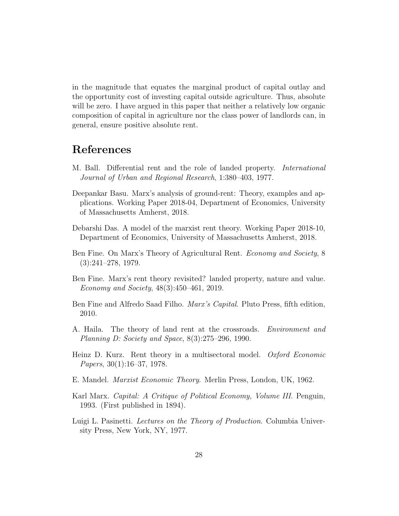in the magnitude that equates the marginal product of capital outlay and the opportunity cost of investing capital outside agriculture. Thus, absolute will be zero. I have argued in this paper that neither a relatively low organic composition of capital in agriculture nor the class power of landlords can, in general, ensure positive absolute rent.

## References

- M. Ball. Differential rent and the role of landed property. International Journal of Urban and Regional Research, 1:380–403, 1977.
- Deepankar Basu. Marx's analysis of ground-rent: Theory, examples and applications. Working Paper 2018-04, Department of Economics, University of Massachusetts Amherst, 2018.
- Debarshi Das. A model of the marxist rent theory. Working Paper 2018-10, Department of Economics, University of Massachusetts Amherst, 2018.
- Ben Fine. On Marx's Theory of Agricultural Rent. Economy and Society, 8 (3):241–278, 1979.
- Ben Fine. Marx's rent theory revisited? landed property, nature and value. Economy and Society, 48(3):450–461, 2019.
- Ben Fine and Alfredo Saad Filho. Marx's Capital. Pluto Press, fifth edition, 2010.
- A. Haila. The theory of land rent at the crossroads. Environment and Planning D: Society and Space, 8(3):275–296, 1990.
- Heinz D. Kurz. Rent theory in a multisectoral model. *Oxford Economic* Papers, 30(1):16–37, 1978.
- E. Mandel. Marxist Economic Theory. Merlin Press, London, UK, 1962.
- Karl Marx. Capital: A Critique of Political Economy, Volume III. Penguin, 1993. (First published in 1894).
- Luigi L. Pasinetti. Lectures on the Theory of Production. Columbia University Press, New York, NY, 1977.